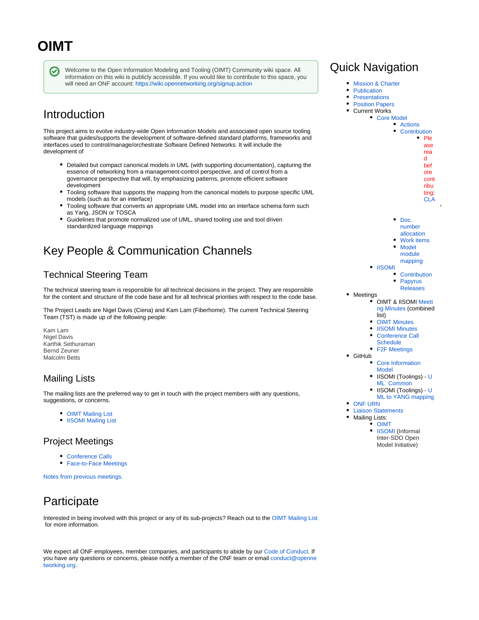# **OIMT**

∞

Welcome to the Open Information Modeling and Tooling (OIMT) Community wiki space. All information on this wiki is publicly accessible. If you would like to contribute to this space, you will need an ONF account:<https://wiki.opennetworking.org/signup.action>

# Introduction

This project aims to evolve industry-wide Open Information Models and associated open source tooling software that guides/supports the development of software-defined standard platforms, frameworks and interfaces used to control/manage/orchestrate Software Defined Networks. It will include the development of

- Detailed but compact canonical models in UML (with supporting documentation), capturing the essence of networking from a management-control perspective, and of control from a governance perspective that will, by emphasizing patterns, promote efficient software development
- Tooling software that supports the mapping from the canonical models to purpose specific UML models (such as for an interface)
- Tooling software that converts an appropriate UML model into an interface schema form such as Yang, JSON or TOSCA
- Guidelines that promote normalized use of UML, shared tooling use and tool driven standardized language mappings

# Key People & Communication Channels

## Technical Steering Team

The technical steering team is responsible for all technical decisions in the project. They are responsible for the content and structure of the code base and for all technical priorities with respect to the code base.

The Project Leads are Nigel Davis (Ciena) and Kam Lam (Fiberhome). The current Technical Steering Team (TST) is made up of the following people:

Kam Lam Nigel Davis Karthik Sethuraman Bernd Zeuner Malcolm Betts

## Mailing Lists

The mailing lists are the preferred way to get in touch with the project members with any questions, suggestions, or concerns.

- **[OIMT Mailing List](https://groups.google.com/a/opennetworking.org/forum/#!forum/information-modeling)**
- **[IISOMI Mailing List](https://groups.google.com/a/opennetworking.org/forum/#!forum/iisomi)**

## Project Meetings

- [Conference Calls](https://wiki.opennetworking.org/display/OIMT/Conference+Call+Schedule)
- [Face-to-Face Meetings](https://wiki.opennetworking.org/display/OIMT/Face-to-Face+Meetings)

[Notes from previous meetings.](https://wiki.opennetworking.org/display/OIMT/Meeting+Notes)

# **Participate**

Interested in being involved with this project or any of its sub-projects? Reach out to the [OIMT Mailing List](https://groups.google.com/a/opennetworking.org/forum/#!forum/information-modeling) for more information.

We expect all ONF employees, member companies, and participants to abide by our [Code of Conduct](https://www.opennetworking.org/wp-content/themes/onf/img/onf-code-of-conduct.pdf). If you have any questions or concerns, please notify a member of the ONF team or email [conduct@openne](mailto:conduct@opennetworking.org) [tworking.org](mailto:conduct@opennetworking.org).

# Quick Navigation

- [Mission & Charter](https://wiki.opennetworking.org/display/OIMT/OIMT+Project+Charter)
- $\bullet$ [Publication](https://www.opennetworking.org/software-defined-standards/models-apis/)
- $\bullet$ **[Presentations](https://wiki.opennetworking.org/display/OIMT/OIMT+Presentations)**
- **[Position Papers](https://wiki.opennetworking.org/display/OIMT/OIMT+Position+Papers)**
- Current Works
	- [Core Model](https://wiki.opennetworking.org/display/OIMT/Core+Model)

| <b>Actions</b> |      |
|----------------|------|
| Contribution   |      |
|                | Ple  |
|                | ase  |
|                | rea  |
|                | d    |
|                | bef  |
|                | ore  |
|                | cont |
|                | ribu |
|                |      |

ting: [CLA](https://wiki.opennetworking.org/display/COM/ONF+CLA+Information)

- Doc. [number](https://wiki.opennetworking.org/display/OIMT/OIMT+document+number+allocation) 
	- [allocation](https://wiki.opennetworking.org/display/OIMT/OIMT+document+number+allocation)
- [Work items](https://wiki.opennetworking.org/pages/viewpage.action?pageId=265846900) • Model
- [module](https://wiki.opennetworking.org/pages/viewpage.action?pageId=478806024)  [mapping](https://wiki.opennetworking.org/pages/viewpage.action?pageId=478806024)
- [IISOMI](https://wiki.opennetworking.org/display/OIMT/IISOMI)
	- **[Contribution](https://wiki.opennetworking.org/display/OIMT/IISOMI+Contributions)**  $\bullet$
	- [Papyrus](https://wiki.opennetworking.org/display/OIMT/Papyrus+Releases)  [Releases](https://wiki.opennetworking.org/display/OIMT/Papyrus+Releases)
- Meetings OIMT & IISOMI [Meeti](https://wiki.opennetworking.org/display/OIMT/Meeting+Notes)
	- [ng Minutes](https://wiki.opennetworking.org/display/OIMT/Meeting+Notes) (combined
	- list)
	- **OIMT** Minutes
	- $\bullet$ [IISOMI Minutes](https://wiki.opennetworking.org/display/OIMT/IISOMI+Minutes)
	- [Conference Call](https://wiki.opennetworking.org/display/OIMT/Conference+Call+Schedule)
	- **[Schedule](https://wiki.opennetworking.org/display/OIMT/Conference+Call+Schedule)** 
		- [F2F Meetings](https://wiki.opennetworking.org/display/OIMT/Face-to-Face+Meetings)
- GitHub
	- [Core Information](https://github.com/OpenNetworkingFoundation/CoreInfoModel)  [Model](https://github.com/OpenNetworkingFoundation/CoreInfoModel)
	- IISOMI (Toolings) - [U](https://github.com/OpenNetworkingFoundation/EagleUmlCommon) [ML Common](https://github.com/OpenNetworkingFoundation/EagleUmlCommon)
	- IISOMI (Toolings) - [U](https://github.com/OpenNetworkingFoundation/EagleUmlYang) [ML to YANG mapping](https://github.com/OpenNetworkingFoundation/EagleUmlYang)
- [ONF URN](https://wiki.opennetworking.org/pages/viewpage.action?pageId=325386251)
- **[Liaison Statements](https://wiki.opennetworking.org/pages/viewpage.action?pageId=287997985)**
- Mailing Lists:
- [OIMT](https://groups.google.com/a/opennetworking.org/forum/#!forum/information-modeling)
	- $\bullet$ [IISOMI](https://groups.google.com/a/opennetworking.org/forum/#!forum/iisomi) (Informal Inter-SDO Open Model Initiative)